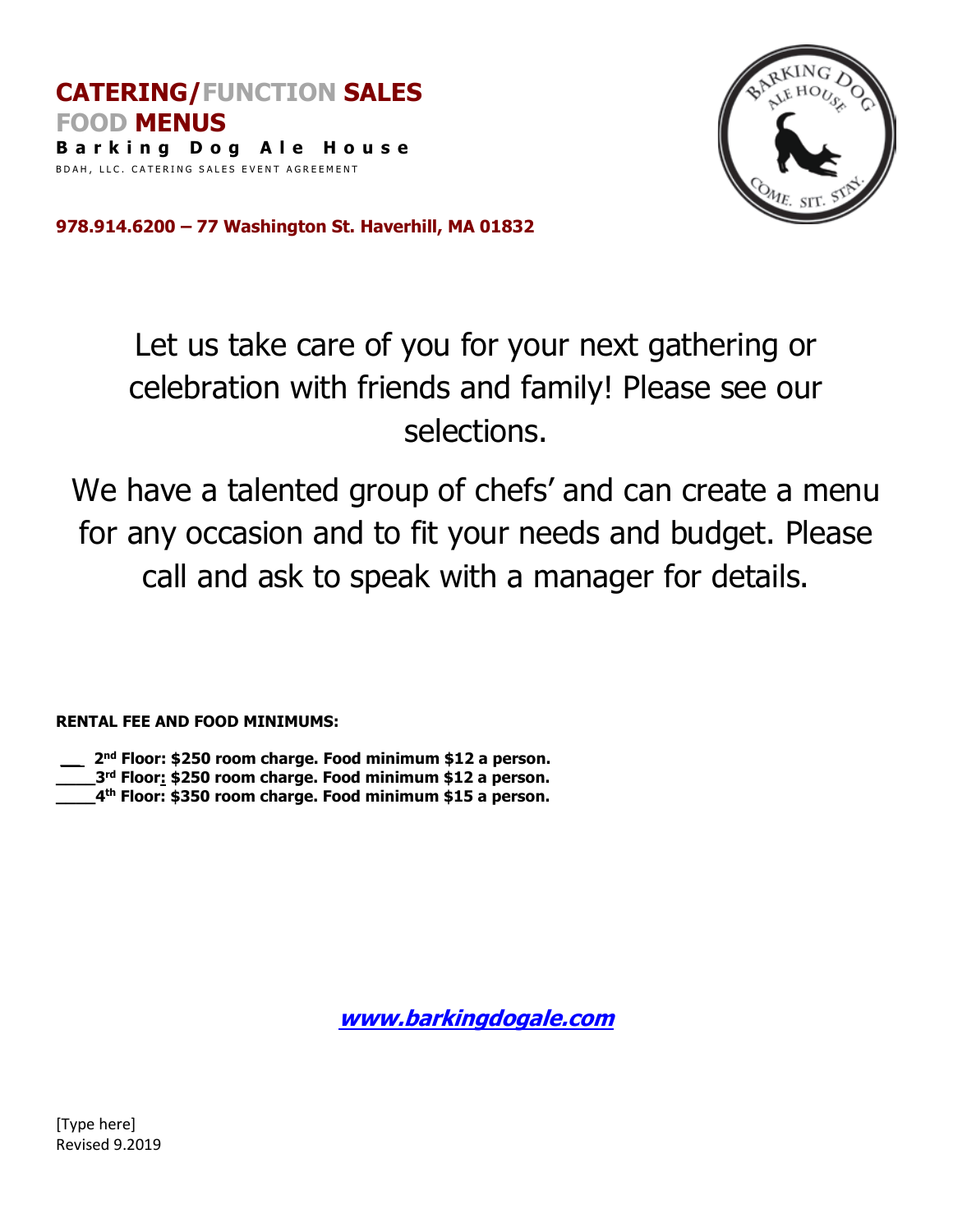

**978.914.6200 – 77 Washington St. Haverhill, MA 01832**

## Let us take care of you for your next gathering or celebration with friends and family! Please see our selections.

We have a talented group of chefs' and can create a menu for any occasion and to fit your needs and budget. Please call and ask to speak with a manager for details.

**RENTAL FEE AND FOOD MINIMUMS:**

**\_\_ 2 nd Floor: \$250 room charge. Food minimum \$12 a person.** 

**\_\_\_\_3rd Floor: \$250 room charge. Food minimum \$12 a person.**

**\_\_\_\_4th Floor: \$350 room charge. Food minimum \$15 a person.** 

**[www.barkingdogale.com](http://www.barkingdogale.com/)**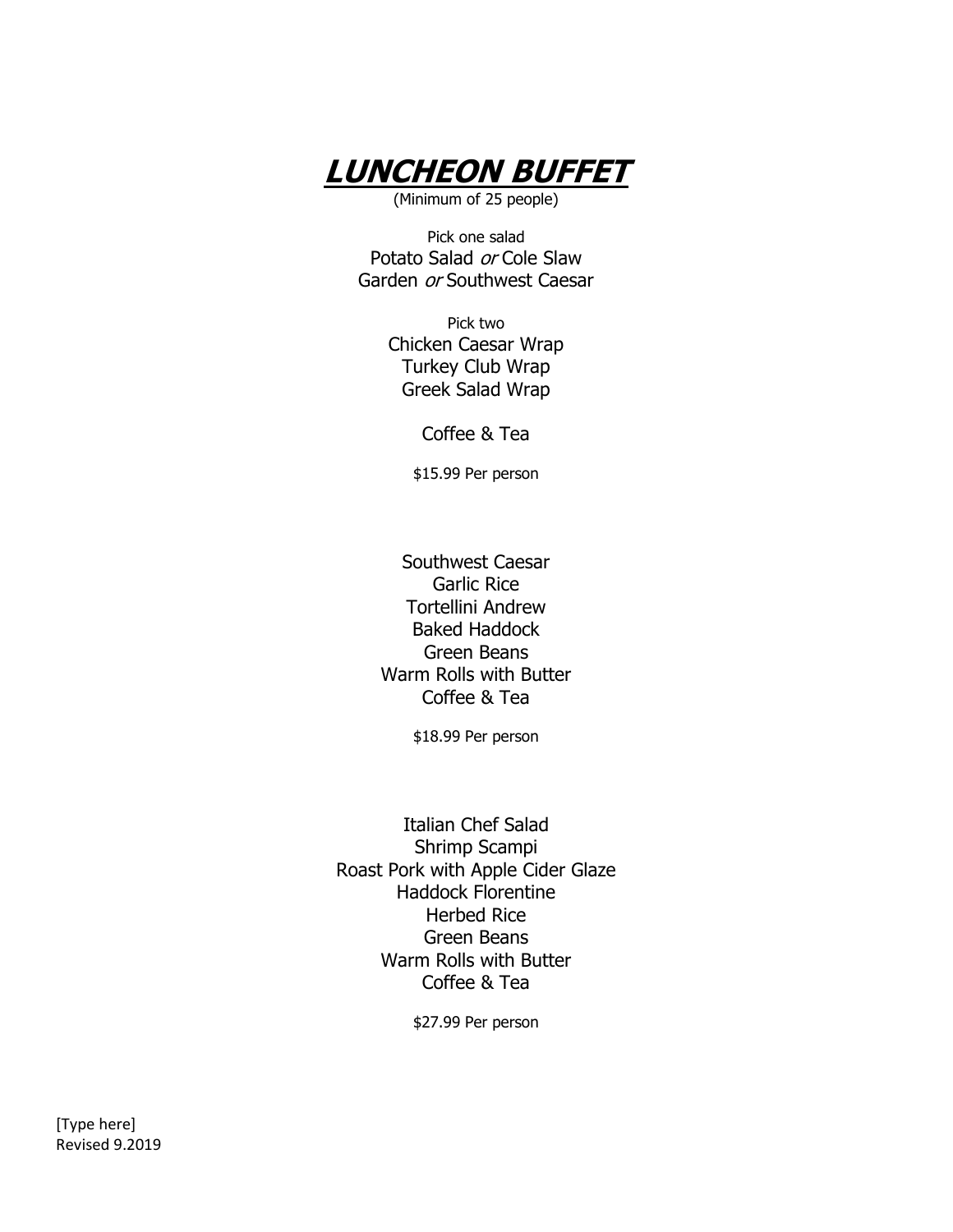

Pick one salad Potato Salad or Cole Slaw Garden or Southwest Caesar

> Pick two Chicken Caesar Wrap Turkey Club Wrap Greek Salad Wrap

> > Coffee & Tea

\$15.99 Per person

Southwest Caesar Garlic Rice Tortellini Andrew Baked Haddock Green Beans Warm Rolls with Butter Coffee & Tea

\$18.99 Per person

Italian Chef Salad Shrimp Scampi Roast Pork with Apple Cider Glaze Haddock Florentine Herbed Rice Green Beans Warm Rolls with Butter Coffee & Tea

\$27.99 Per person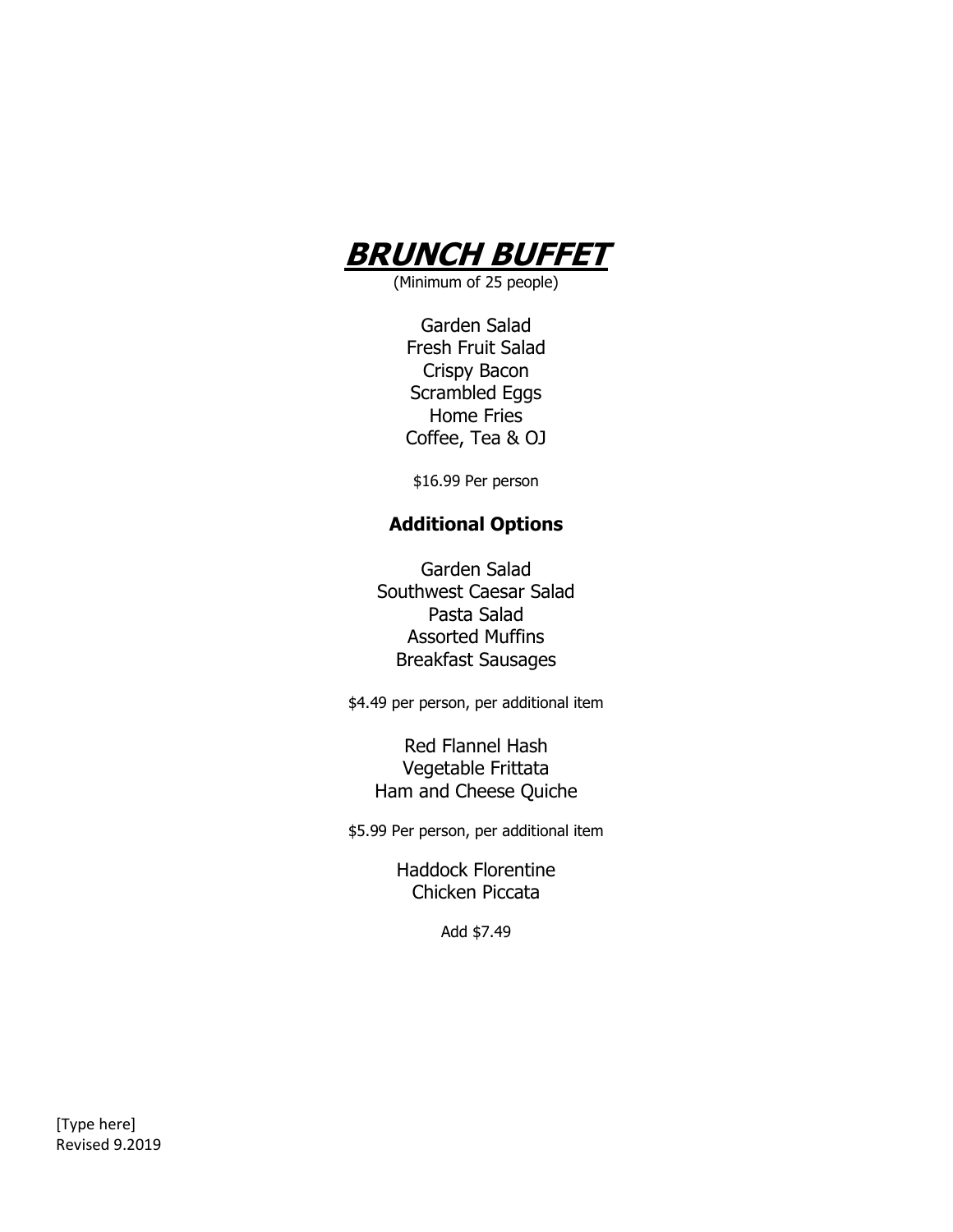

Garden Salad Fresh Fruit Salad Crispy Bacon Scrambled Eggs Home Fries Coffee, Tea & OJ

\$16.99 Per person

## **Additional Options**

Garden Salad Southwest Caesar Salad Pasta Salad Assorted Muffins Breakfast Sausages

\$4.49 per person, per additional item

Red Flannel Hash Vegetable Frittata Ham and Cheese Quiche

\$5.99 Per person, per additional item

Haddock Florentine Chicken Piccata

Add \$7.49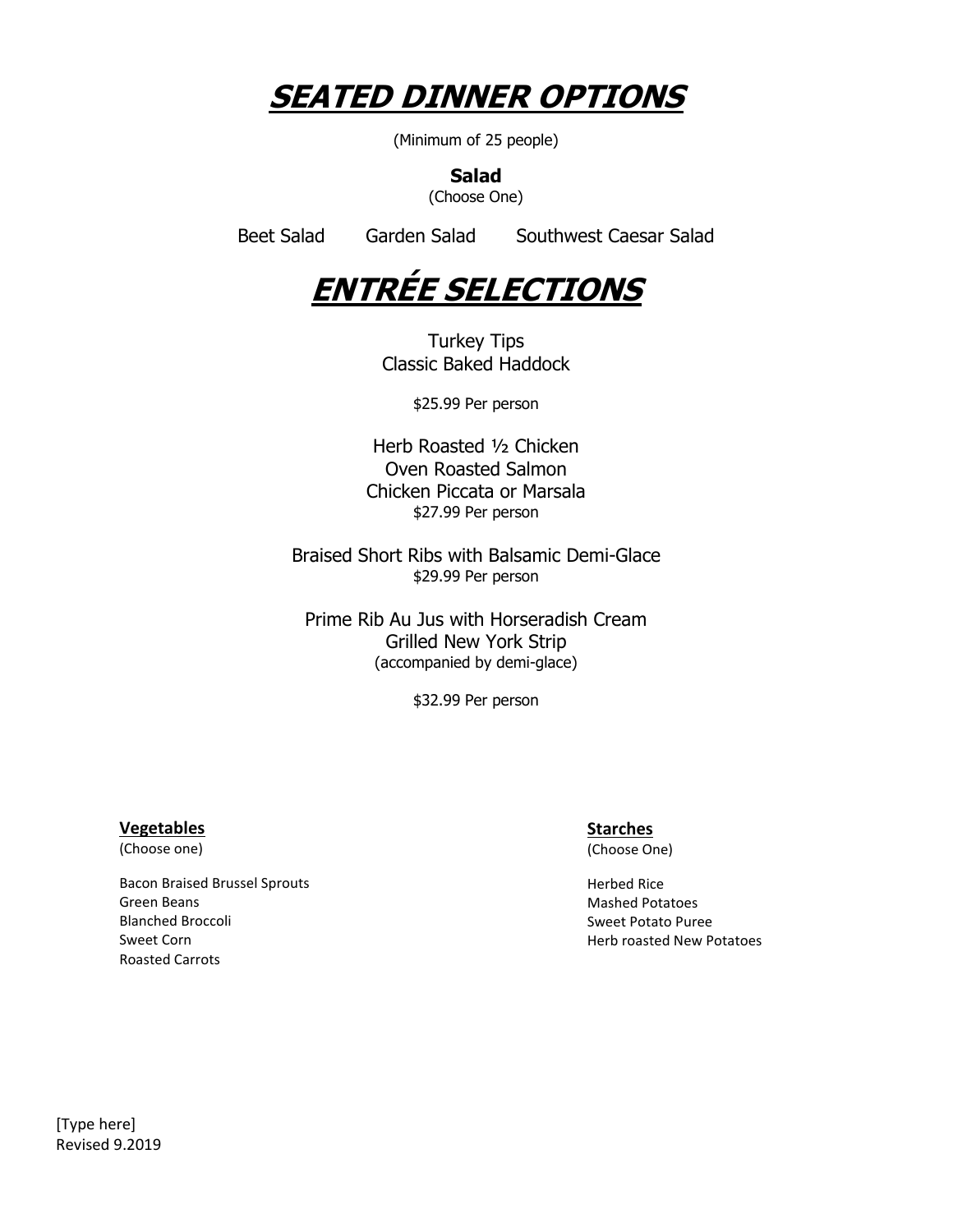

**Salad**

(Choose One)

Beet Salad Garden Salad Southwest Caesar Salad



Turkey Tips Classic Baked Haddock

\$25.99 Per person

Herb Roasted ½ Chicken Oven Roasted Salmon Chicken Piccata or Marsala \$27.99 Per person

Braised Short Ribs with Balsamic Demi-Glace \$29.99 Per person

Prime Rib Au Jus with Horseradish Cream Grilled New York Strip (accompanied by demi-glace)

\$32.99 Per person

## **Vegetables**

(Choose one)

Bacon Braised Brussel Sprouts Green Beans Blanched Broccoli Sweet Corn Roasted Carrots

## **Starches**

(Choose One)

Herbed Rice Mashed Potatoes Sweet Potato Puree Herb roasted New Potatoes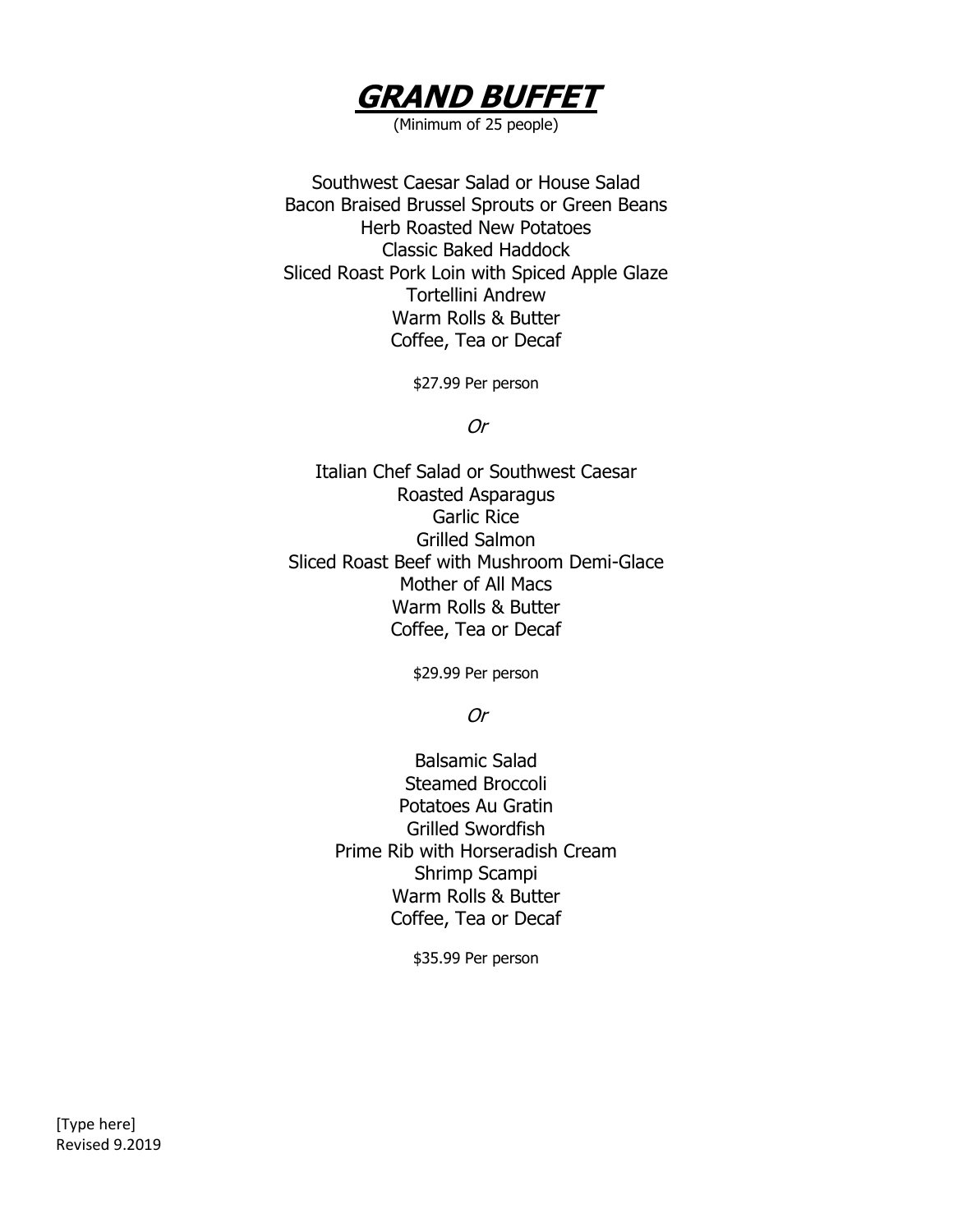

Southwest Caesar Salad or House Salad Bacon Braised Brussel Sprouts or Green Beans Herb Roasted New Potatoes Classic Baked Haddock Sliced Roast Pork Loin with Spiced Apple Glaze Tortellini Andrew Warm Rolls & Butter Coffee, Tea or Decaf

\$27.99 Per person

Or

Italian Chef Salad or Southwest Caesar Roasted Asparagus Garlic Rice Grilled Salmon Sliced Roast Beef with Mushroom Demi-Glace Mother of All Macs Warm Rolls & Butter Coffee, Tea or Decaf

\$29.99 Per person

Or

Balsamic Salad Steamed Broccoli Potatoes Au Gratin Grilled Swordfish Prime Rib with Horseradish Cream Shrimp Scampi Warm Rolls & Butter Coffee, Tea or Decaf

\$35.99 Per person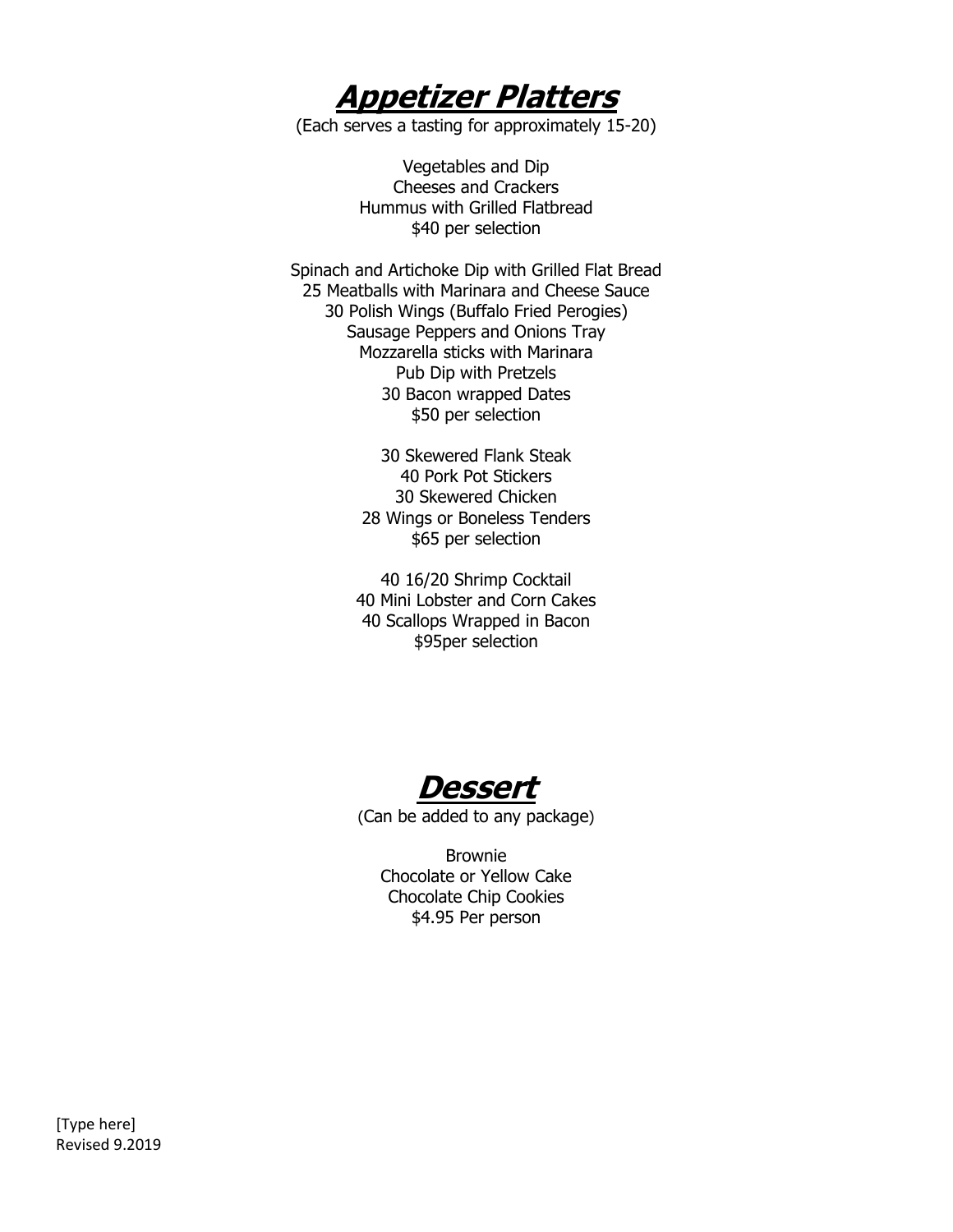**Appetizer Platters**

(Each serves a tasting for approximately 15-20)

Vegetables and Dip Cheeses and Crackers Hummus with Grilled Flatbread \$40 per selection

Spinach and Artichoke Dip with Grilled Flat Bread 25 Meatballs with Marinara and Cheese Sauce 30 Polish Wings (Buffalo Fried Perogies) Sausage Peppers and Onions Tray Mozzarella sticks with Marinara Pub Dip with Pretzels 30 Bacon wrapped Dates \$50 per selection

> 30 Skewered Flank Steak 40 Pork Pot Stickers 30 Skewered Chicken 28 Wings or Boneless Tenders \$65 per selection

40 16/20 Shrimp Cocktail 40 Mini Lobster and Corn Cakes 40 Scallops Wrapped in Bacon \$95per selection

**Dessert**

(Can be added to any package)

Brownie Chocolate or Yellow Cake Chocolate Chip Cookies \$4.95 Per person